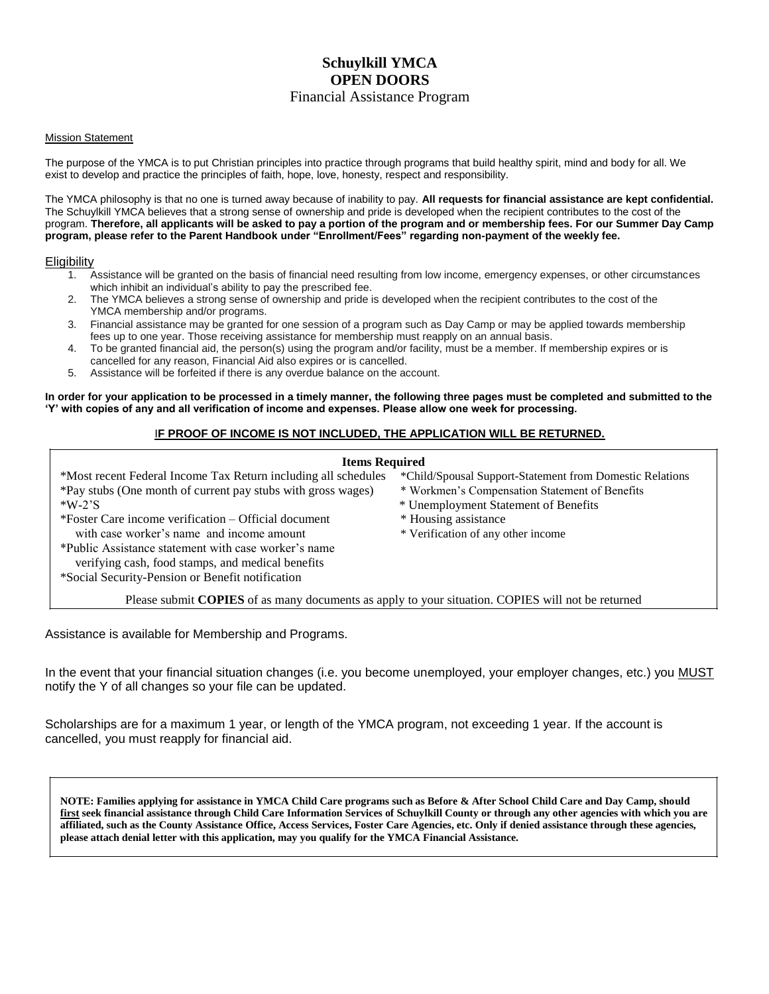# **Schuylkill YMCA OPEN DOORS**

# Financial Assistance Program

#### **Mission Statement**

The purpose of the YMCA is to put Christian principles into practice through programs that build healthy spirit, mind and body for all. We exist to develop and practice the principles of faith, hope, love, honesty, respect and responsibility.

The YMCA philosophy is that no one is turned away because of inability to pay. **All requests for financial assistance are kept confidential.** The Schuylkill YMCA believes that a strong sense of ownership and pride is developed when the recipient contributes to the cost of the program. **Therefore, all applicants will be asked to pay a portion of the program and or membership fees. For our Summer Day Camp program, please refer to the Parent Handbook under "Enrollment/Fees" regarding non-payment of the weekly fee.**

#### **Eligibility**

- 1. Assistance will be granted on the basis of financial need resulting from low income, emergency expenses, or other circumstances which inhibit an individual's ability to pay the prescribed fee.
- 2. The YMCA believes a strong sense of ownership and pride is developed when the recipient contributes to the cost of the YMCA membership and/or programs.
- 3. Financial assistance may be granted for one session of a program such as Day Camp or may be applied towards membership fees up to one year. Those receiving assistance for membership must reapply on an annual basis.
- 4. To be granted financial aid, the person(s) using the program and/or facility, must be a member. If membership expires or is cancelled for any reason, Financial Aid also expires or is cancelled.
- 5. Assistance will be forfeited if there is any overdue balance on the account.

#### **In order for your application to be processed in a timely manner, the following three pages must be completed and submitted to the 'Y' with copies of any and all verification of income and expenses. Please allow one week for processing.**

#### I**F PROOF OF INCOME IS NOT INCLUDED, THE APPLICATION WILL BE RETURNED.**

#### **Items Required**

\*Most recent Federal Income Tax Return including all schedules \*Child/Spousal Support-Statement from Domestic Relations \*Pay stubs (One month of current pay stubs with gross wages) \* Workmen's Compensation Statement of Benefits \*W-2'S \* Unemployment Statement of Benefits \*Foster Care income verification – Official document \* Housing assistance with case worker's name and income amount \* Verification of any other income

\*Public Assistance statement with case worker's name verifying cash, food stamps, and medical benefits

\*Social Security-Pension or Benefit notification

Please submit **COPIES** of as many documents as apply to your situation. COPIES will not be returned

Assistance is available for Membership and Programs.

In the event that your financial situation changes (i.e. you become unemployed, your employer changes, etc.) you MUST notify the Y of all changes so your file can be updated.

Scholarships are for a maximum 1 year, or length of the YMCA program, not exceeding 1 year. If the account is cancelled, you must reapply for financial aid.

**NOTE: Families applying for assistance in YMCA Child Care programs such as Before & After School Child Care and Day Camp, should first seek financial assistance through Child Care Information Services of Schuylkill County or through any other agencies with which you are affiliated, such as the County Assistance Office, Access Services, Foster Care Agencies, etc. Only if denied assistance through these agencies, please attach denial letter with this application, may you qualify for the YMCA Financial Assistance.**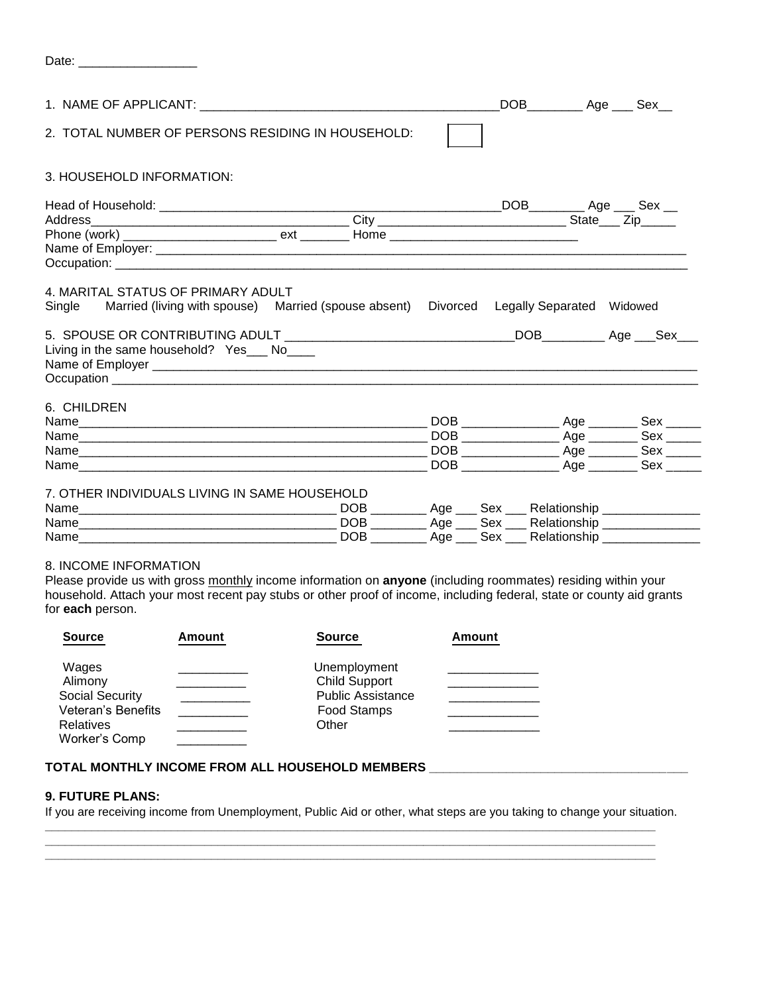| 1. NAME OF APPLICANT: The state of the state of the state of the state of the state of the state of the state o                                                                                                                |  | DOB _________ Age ___ Sex__   |  |
|--------------------------------------------------------------------------------------------------------------------------------------------------------------------------------------------------------------------------------|--|-------------------------------|--|
| 2. TOTAL NUMBER OF PERSONS RESIDING IN HOUSEHOLD:                                                                                                                                                                              |  |                               |  |
| 3. HOUSEHOLD INFORMATION:                                                                                                                                                                                                      |  |                               |  |
|                                                                                                                                                                                                                                |  | DOB _________ Age ____ Sex __ |  |
|                                                                                                                                                                                                                                |  |                               |  |
|                                                                                                                                                                                                                                |  |                               |  |
|                                                                                                                                                                                                                                |  |                               |  |
| Occupation: the contract of the contract of the contract of the contract of the contract of the contract of the contract of the contract of the contract of the contract of the contract of the contract of the contract of th |  |                               |  |
| 4. MARITAL STATUS OF PRIMARY ADULT                                                                                                                                                                                             |  |                               |  |
| Single Married (living with spouse) Married (spouse absent) Divorced Legally Separated Widowed<br>Living in the same household? Yes ___ No____                                                                                 |  |                               |  |
|                                                                                                                                                                                                                                |  |                               |  |
|                                                                                                                                                                                                                                |  |                               |  |
|                                                                                                                                                                                                                                |  |                               |  |
|                                                                                                                                                                                                                                |  |                               |  |
| 6. CHILDREN<br>Name                                                                                                                                                                                                            |  |                               |  |
|                                                                                                                                                                                                                                |  |                               |  |
|                                                                                                                                                                                                                                |  |                               |  |
| 7. OTHER INDIVIDUALS LIVING IN SAME HOUSEHOLD                                                                                                                                                                                  |  |                               |  |

## 8. INCOME INFORMATION

Date: \_\_\_\_\_\_\_\_\_\_\_\_\_\_\_\_\_

Please provide us with gross monthly income information on **anyone** (including roommates) residing within your household. Attach your most recent pay stubs or other proof of income, including federal, state or county aid grants for **each** person.

| <b>Source</b>                                                                                  | Amount | <b>Source</b>                                                                                   | Amount |
|------------------------------------------------------------------------------------------------|--------|-------------------------------------------------------------------------------------------------|--------|
| Wages<br>Alimony<br>Social Security<br><b>Veteran's Benefits</b><br>Relatives<br>Worker's Comp |        | Unemployment<br><b>Child Support</b><br><b>Public Assistance</b><br><b>Food Stamps</b><br>Other |        |

## **TOTAL MONTHLY INCOME FROM ALL HOUSEHOLD MEMBERS \_\_\_\_\_\_\_\_\_\_\_\_\_\_\_\_\_\_\_\_\_\_\_\_\_\_\_\_\_\_\_\_\_\_\_\_\_**

## **9. FUTURE PLANS:**

If you are receiving income from Unemployment, Public Aid or other, what steps are you taking to change your situation. **\_\_\_\_\_\_\_\_\_\_\_\_\_\_\_\_\_\_\_\_\_\_\_\_\_\_\_\_\_\_\_\_\_\_\_\_\_\_\_\_\_\_\_\_\_\_\_\_\_\_\_\_\_\_\_\_\_\_\_\_\_\_\_\_\_\_\_\_\_\_\_\_\_\_\_\_\_\_\_\_\_\_\_\_\_\_\_\_\_\_\_\_** 

**\_\_\_\_\_\_\_\_\_\_\_\_\_\_\_\_\_\_\_\_\_\_\_\_\_\_\_\_\_\_\_\_\_\_\_\_\_\_\_\_\_\_\_\_\_\_\_\_\_\_\_\_\_\_\_\_\_\_\_\_\_\_\_\_\_\_\_\_\_\_\_\_\_\_\_\_\_\_\_\_\_\_\_\_\_\_\_\_\_\_\_\_ \_\_\_\_\_\_\_\_\_\_\_\_\_\_\_\_\_\_\_\_\_\_\_\_\_\_\_\_\_\_\_\_\_\_\_\_\_\_\_\_\_\_\_\_\_\_\_\_\_\_\_\_\_\_\_\_\_\_\_\_\_\_\_\_\_\_\_\_\_\_\_\_\_\_\_\_\_\_\_\_\_\_\_\_\_\_\_\_\_\_\_\_**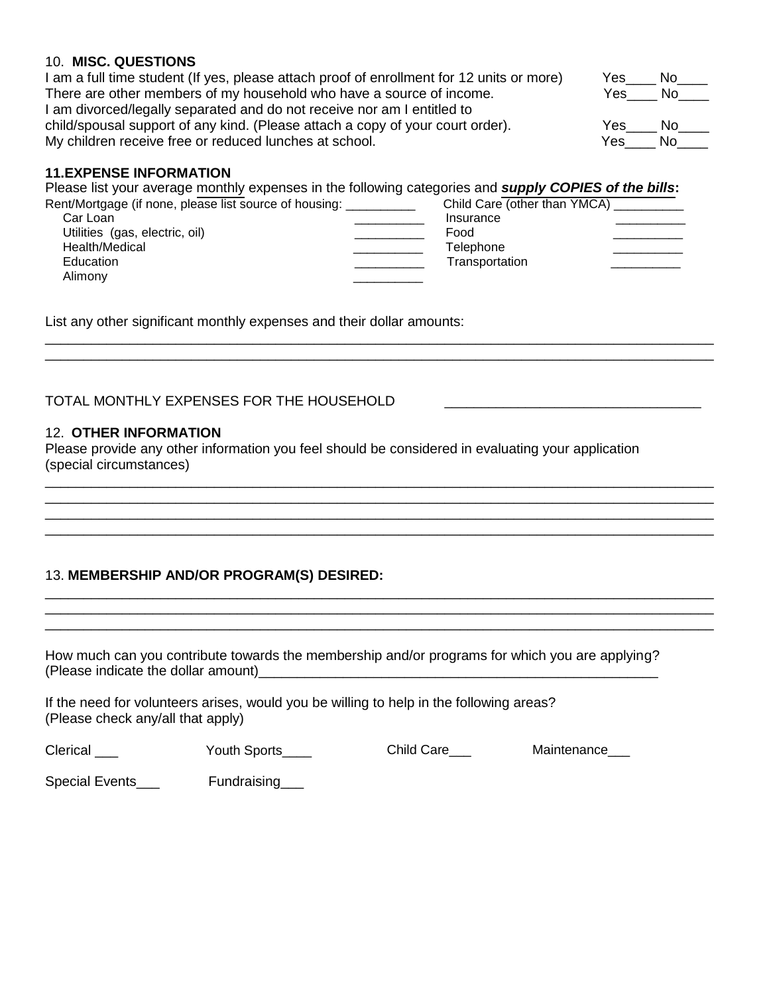# 10. **MISC. QUESTIONS**

| I am a full time student (If yes, please attach proof of enrollment for 12 units or more) | Yes. | No l |
|-------------------------------------------------------------------------------------------|------|------|
| There are other members of my household who have a source of income.                      | Yesl | No.  |
| I am divorced/legally separated and do not receive nor am I entitled to                   |      |      |
| child/spousal support of any kind. (Please attach a copy of your court order).            | Yes. | No.  |
| My children receive free or reduced lunches at school.                                    | Yes. | No.  |
|                                                                                           |      |      |

# **11.EXPENSE INFORMATION**

| Please list your average monthly expenses in the following categories and supply COPIES of the bills: |                                         |
|-------------------------------------------------------------------------------------------------------|-----------------------------------------|
| Rent/Mortgage (if none, please list source of housing: __________                                     | Child Care (other than YMCA) __________ |
| Car Loan                                                                                              | Insurance                               |
| Utilities (gas, electric, oil)                                                                        | Food                                    |
| Health/Medical                                                                                        | Telephone                               |
| Education                                                                                             | Transportation                          |
| Alimony                                                                                               |                                         |

\_\_\_\_\_\_\_\_\_\_\_\_\_\_\_\_\_\_\_\_\_\_\_\_\_\_\_\_\_\_\_\_\_\_\_\_\_\_\_\_\_\_\_\_\_\_\_\_\_\_\_\_\_\_\_\_\_\_\_\_\_\_\_\_\_\_\_\_\_\_\_\_\_\_\_\_\_\_\_\_\_\_\_\_\_\_\_ \_\_\_\_\_\_\_\_\_\_\_\_\_\_\_\_\_\_\_\_\_\_\_\_\_\_\_\_\_\_\_\_\_\_\_\_\_\_\_\_\_\_\_\_\_\_\_\_\_\_\_\_\_\_\_\_\_\_\_\_\_\_\_\_\_\_\_\_\_\_\_\_\_\_\_\_\_\_\_\_\_\_\_\_\_\_\_

\_\_\_\_\_\_\_\_\_\_\_\_\_\_\_\_\_\_\_\_\_\_\_\_\_\_\_\_\_\_\_\_\_\_\_\_\_\_\_\_\_\_\_\_\_\_\_\_\_\_\_\_\_\_\_\_\_\_\_\_\_\_\_\_\_\_\_\_\_\_\_\_\_\_\_\_\_\_\_\_\_\_\_\_\_\_\_ \_\_\_\_\_\_\_\_\_\_\_\_\_\_\_\_\_\_\_\_\_\_\_\_\_\_\_\_\_\_\_\_\_\_\_\_\_\_\_\_\_\_\_\_\_\_\_\_\_\_\_\_\_\_\_\_\_\_\_\_\_\_\_\_\_\_\_\_\_\_\_\_\_\_\_\_\_\_\_\_\_\_\_\_\_\_\_ \_\_\_\_\_\_\_\_\_\_\_\_\_\_\_\_\_\_\_\_\_\_\_\_\_\_\_\_\_\_\_\_\_\_\_\_\_\_\_\_\_\_\_\_\_\_\_\_\_\_\_\_\_\_\_\_\_\_\_\_\_\_\_\_\_\_\_\_\_\_\_\_\_\_\_\_\_\_\_\_\_\_\_\_\_\_\_ \_\_\_\_\_\_\_\_\_\_\_\_\_\_\_\_\_\_\_\_\_\_\_\_\_\_\_\_\_\_\_\_\_\_\_\_\_\_\_\_\_\_\_\_\_\_\_\_\_\_\_\_\_\_\_\_\_\_\_\_\_\_\_\_\_\_\_\_\_\_\_\_\_\_\_\_\_\_\_\_\_\_\_\_\_\_\_

\_\_\_\_\_\_\_\_\_\_\_\_\_\_\_\_\_\_\_\_\_\_\_\_\_\_\_\_\_\_\_\_\_\_\_\_\_\_\_\_\_\_\_\_\_\_\_\_\_\_\_\_\_\_\_\_\_\_\_\_\_\_\_\_\_\_\_\_\_\_\_\_\_\_\_\_\_\_\_\_\_\_\_\_\_\_\_

\_\_\_\_\_\_\_\_\_\_\_\_\_\_\_\_\_\_\_\_\_\_\_\_\_\_\_\_\_\_\_\_\_\_\_\_\_\_\_\_\_\_\_\_\_\_\_\_\_\_\_\_\_\_\_\_\_\_\_\_\_\_\_\_\_\_\_\_\_\_\_\_\_\_\_\_\_\_\_\_\_\_\_\_\_\_\_

List any other significant monthly expenses and their dollar amounts:

# TOTAL MONTHLY EXPENSES FOR THE HOUSEHOLD **EXAMPLE 100 FM SETS**

## 12. **OTHER INFORMATION**

Please provide any other information you feel should be considered in evaluating your application (special circumstances)

# 13. **MEMBERSHIP AND/OR PROGRAM(S) DESIRED:**

How much can you contribute towards the membership and/or programs for which you are applying? (Please indicate the dollar amount)\_\_\_\_\_\_\_\_\_\_\_\_\_\_\_\_\_\_\_\_\_\_\_\_\_\_\_\_\_\_\_\_\_\_\_\_\_\_\_\_\_\_\_\_\_\_\_\_\_\_\_\_

If the need for volunteers arises, would you be willing to help in the following areas? (Please check any/all that apply)

Clerical Maintenance Youth Sports Child Care Maintenance

Special Events\_\_\_ Fundraising\_\_\_